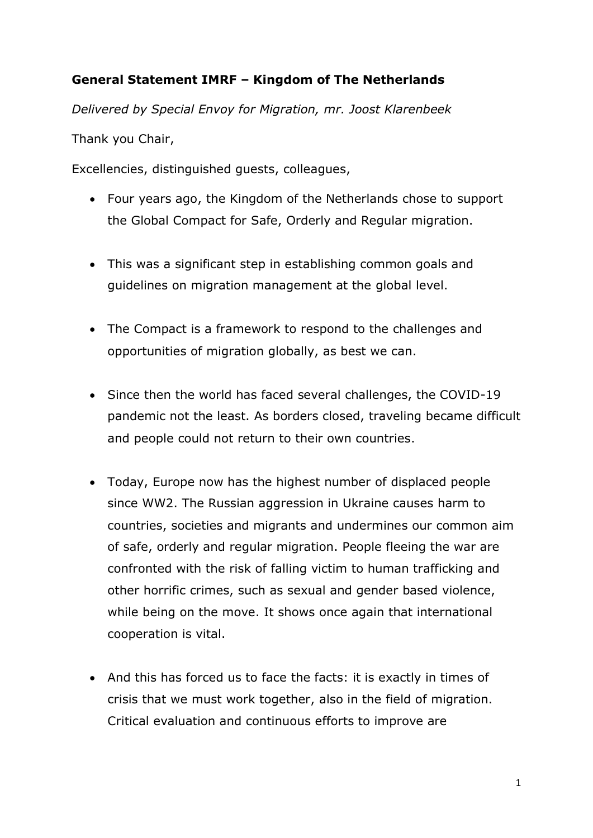## **General Statement IMRF – Kingdom of The Netherlands**

*Delivered by Special Envoy for Migration, mr. Joost Klarenbeek*

Thank you Chair,

Excellencies, distinguished guests, colleagues,

- Four years ago, the Kingdom of the Netherlands chose to support the Global Compact for Safe, Orderly and Regular migration.
- This was a significant step in establishing common goals and guidelines on migration management at the global level.
- The Compact is a framework to respond to the challenges and opportunities of migration globally, as best we can.
- Since then the world has faced several challenges, the COVID-19 pandemic not the least. As borders closed, traveling became difficult and people could not return to their own countries.
- Today, Europe now has the highest number of displaced people since WW2. The Russian aggression in Ukraine causes harm to countries, societies and migrants and undermines our common aim of safe, orderly and regular migration. People fleeing the war are confronted with the risk of falling victim to human trafficking and other horrific crimes, such as sexual and gender based violence, while being on the move. It shows once again that international cooperation is vital.
- And this has forced us to face the facts: it is exactly in times of crisis that we must work together, also in the field of migration. Critical evaluation and continuous efforts to improve are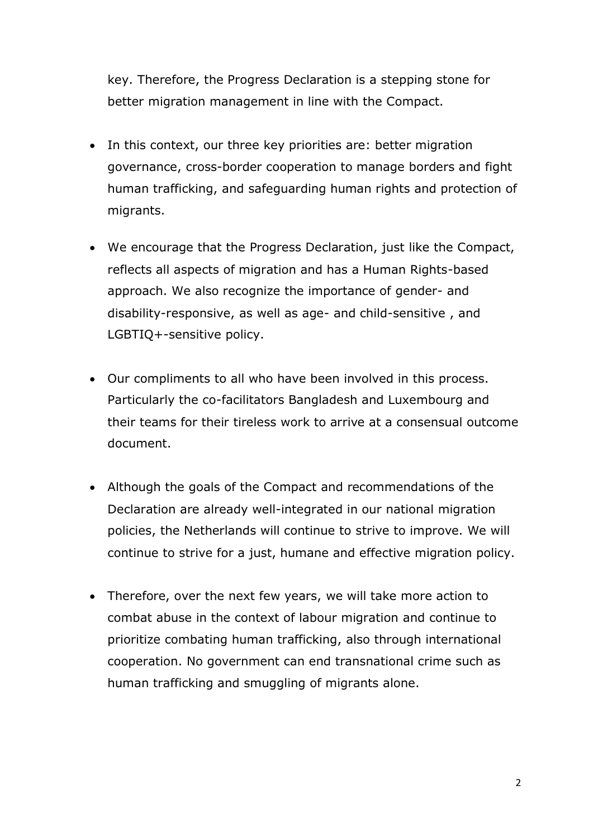key. Therefore, the Progress Declaration is a stepping stone for better migration management in line with the Compact.

- In this context, our three key priorities are: better migration governance, cross-border cooperation to manage borders and fight human trafficking, and safeguarding human rights and protection of migrants.
- We encourage that the Progress Declaration, just like the Compact, reflects all aspects of migration and has a Human Rights-based approach. We also recognize the importance of gender- and disability-responsive, as well as age- and child-sensitive , and LGBTIQ+-sensitive policy.
- Our compliments to all who have been involved in this process. Particularly the co-facilitators Bangladesh and Luxembourg and their teams for their tireless work to arrive at a consensual outcome document.
- Although the goals of the Compact and recommendations of the Declaration are already well-integrated in our national migration policies, the Netherlands will continue to strive to improve. We will continue to strive for a just, humane and effective migration policy.
- Therefore, over the next few years, we will take more action to combat abuse in the context of labour migration and continue to prioritize combating human trafficking, also through international cooperation. No government can end transnational crime such as human trafficking and smuggling of migrants alone.